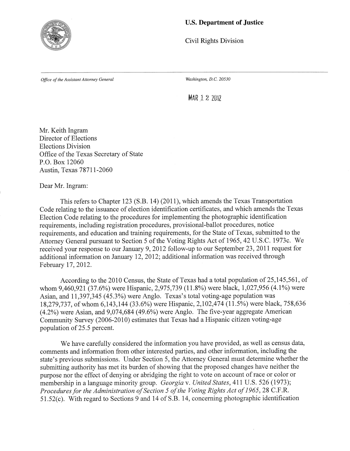

## **U.S. Department of Justice**

**Civil Rights Division** 

Office of the Assistant Attorney General

Washington, D.C. 20530

MAR 1 2 2012

Mr. Keith Ingram Director of Elections **Elections Division** Office of the Texas Secretary of State P.O. Box 12060 Austin, Texas 78711-2060

Dear Mr. Ingram:

This refers to Chapter 123 (S.B. 14) (2011), which amends the Texas Transportation Code relating to the issuance of election identification certificates, and which amends the Texas Election Code relating to the procedures for implementing the photographic identification requirements, including registration procedures, provisional-ballot procedures, notice requirements, and education and training requirements, for the State of Texas, submitted to the Attorney General pursuant to Section 5 of the Voting Rights Act of 1965, 42 U.S.C. 1973c. We received your response to our January 9, 2012 follow-up to our September 23, 2011 request for additional information on January 12, 2012; additional information was received through February 17, 2012.

According to the 2010 Census, the State of Texas had a total population of 25,145,561, of whom 9,460,921 (37.6%) were Hispanic, 2,975,739 (11.8%) were black, 1,027,956 (4.1%) were Asian, and 11,397,345 (45.3%) were Anglo. Texas's total voting-age population was 18,279,737, of whom 6,143,144 (33.6%) were Hispanic, 2,102,474 (11.5%) were black, 758,636  $(4.2\%)$  were Asian, and 9,074,684 (49.6%) were Anglo. The five-year aggregate American Community Survey (2006-2010) estimates that Texas had a Hispanic citizen voting-age population of 25.5 percent.

We have carefully considered the information you have provided, as well as census data, comments and information from other interested parties, and other information, including the state's previous submissions. Under Section 5, the Attorney General must determine whether the submitting authority has met its burden of showing that the proposed changes have neither the purpose nor the effect of denying or abridging the right to vote on account of race or color or membership in a language minority group. Georgia v. United States, 411 U.S. 526 (1973); Procedures for the Administration of Section 5 of the Voting Rights Act of 1965, 28 C.F.R. 51.52(c). With regard to Sections 9 and 14 of S.B. 14, concerning photographic identification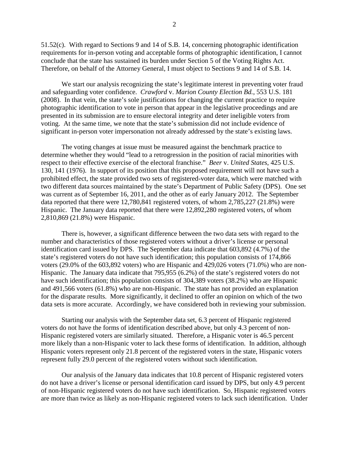51.52(c). With regard to Sections 9 and 14 of S.B. 14, concerning photographic identification requirements for in-person voting and acceptable forms of photographic identification, I cannot conclude that the state has sustained its burden under Section 5 of the Voting Rights Act. Therefore, on behalf of the Attorney General, I must object to Sections 9 and 14 of S.B. 14.

We start our analysis recognizing the state's legitimate interest in preventing voter fraud and safeguarding voter confidence. *Crawford* v. *Marion County Election Bd.*, 553 U.S. 181 (2008). In that vein, the state's sole justifications for changing the current practice to require photographic identification to vote in person that appear in the legislative proceedings and are presented in its submission are to ensure electoral integrity and deter ineligible voters from voting. At the same time, we note that the state's submission did not include evidence of significant in-person voter impersonation not already addressed by the state's existing laws.

The voting changes at issue must be measured against the benchmark practice to determine whether they would "lead to a retrogression in the position of racial minorities with respect to their effective exercise of the electoral franchise." *Beer* v. *United States*, 425 U.S. 130, 141 (1976). In support of its position that this proposed requirement will not have such a prohibited effect, the state provided two sets of registered-voter data, which were matched with two different data sources maintained by the state's Department of Public Safety (DPS). One set was current as of September 16, 2011, and the other as of early January 2012. The September data reported that there were 12,780,841 registered voters, of whom 2,785,227 (21.8%) were Hispanic. The January data reported that there were 12,892,280 registered voters, of whom 2,810,869 (21.8%) were Hispanic.

There is, however, a significant difference between the two data sets with regard to the number and characteristics of those registered voters without a driver's license or personal identification card issued by DPS. The September data indicate that 603,892 (4.7%) of the state's registered voters do not have such identification; this population consists of 174,866 voters (29.0% of the 603,892 voters) who are Hispanic and 429,026 voters (71.0%) who are non-Hispanic. The January data indicate that 795,955 (6.2%) of the state's registered voters do not have such identification; this population consists of 304,389 voters (38.2%) who are Hispanic and 491,566 voters (61.8%) who are non-Hispanic. The state has not provided an explanation for the disparate results. More significantly, it declined to offer an opinion on which of the two data sets is more accurate. Accordingly, we have considered both in reviewing your submission.

Starting our analysis with the September data set, 6.3 percent of Hispanic registered voters do not have the forms of identification described above, but only 4.3 percent of non-Hispanic registered voters are similarly situated. Therefore, a Hispanic voter is 46.5 percent more likely than a non-Hispanic voter to lack these forms of identification. In addition, although Hispanic voters represent only 21.8 percent of the registered voters in the state, Hispanic voters represent fully 29.0 percent of the registered voters without such identification.

Our analysis of the January data indicates that 10.8 percent of Hispanic registered voters do not have a driver's license or personal identification card issued by DPS, but only 4.9 percent of non-Hispanic registered voters do not have such identification. So, Hispanic registered voters are more than twice as likely as non-Hispanic registered voters to lack such identification. Under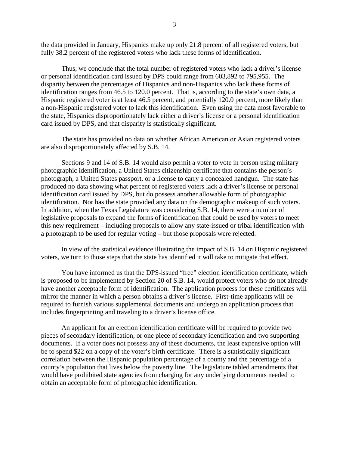the data provided in January, Hispanics make up only 21.8 percent of all registered voters, but fully 38.2 percent of the registered voters who lack these forms of identification.

Thus, we conclude that the total number of registered voters who lack a driver's license or personal identification card issued by DPS could range from 603,892 to 795,955. The disparity between the percentages of Hispanics and non-Hispanics who lack these forms of identification ranges from 46.5 to 120.0 percent. That is, according to the state's own data, a Hispanic registered voter is at least 46.5 percent, and potentially 120.0 percent, more likely than a non-Hispanic registered voter to lack this identification. Even using the data most favorable to the state, Hispanics disproportionately lack either a driver's license or a personal identification card issued by DPS, and that disparity is statistically significant.

The state has provided no data on whether African American or Asian registered voters are also disproportionately affected by S.B. 14.

Sections 9 and 14 of S.B. 14 would also permit a voter to vote in person using military photographic identification, a United States citizenship certificate that contains the person's photograph, a United States passport, or a license to carry a concealed handgun. The state has produced no data showing what percent of registered voters lack a driver's license or personal identification card issued by DPS, but do possess another allowable form of photographic identification. Nor has the state provided any data on the demographic makeup of such voters. In addition, when the Texas Legislature was considering S.B. 14, there were a number of legislative proposals to expand the forms of identification that could be used by voters to meet this new requirement – including proposals to allow any state-issued or tribal identification with a photograph to be used for regular voting – but those proposals were rejected.

In view of the statistical evidence illustrating the impact of S.B. 14 on Hispanic registered voters, we turn to those steps that the state has identified it will take to mitigate that effect.

You have informed us that the DPS-issued "free" election identification certificate, which is proposed to be implemented by Section 20 of S.B. 14, would protect voters who do not already have another acceptable form of identification. The application process for these certificates will mirror the manner in which a person obtains a driver's license. First-time applicants will be required to furnish various supplemental documents and undergo an application process that includes fingerprinting and traveling to a driver's license office.

An applicant for an election identification certificate will be required to provide two pieces of secondary identification, or one piece of secondary identification and two supporting documents. If a voter does not possess any of these documents, the least expensive option will be to spend \$22 on a copy of the voter's birth certificate. There is a statistically significant correlation between the Hispanic population percentage of a county and the percentage of a county's population that lives below the poverty line. The legislature tabled amendments that would have prohibited state agencies from charging for any underlying documents needed to obtain an acceptable form of photographic identification.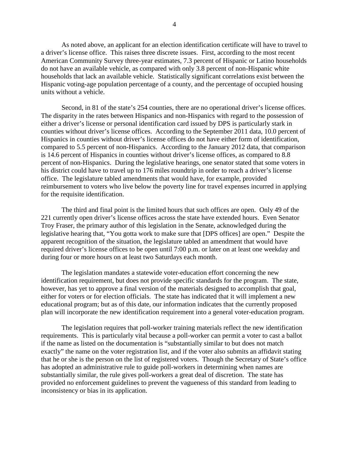As noted above, an applicant for an election identification certificate will have to travel to a driver's license office. This raises three discrete issues. First, according to the most recent American Community Survey three-year estimates, 7.3 percent of Hispanic or Latino households do not have an available vehicle, as compared with only 3.8 percent of non-Hispanic white households that lack an available vehicle. Statistically significant correlations exist between the Hispanic voting-age population percentage of a county, and the percentage of occupied housing units without a vehicle.

Second, in 81 of the state's 254 counties, there are no operational driver's license offices. The disparity in the rates between Hispanics and non-Hispanics with regard to the possession of either a driver's license or personal identification card issued by DPS is particularly stark in counties without driver's license offices. According to the September 2011 data, 10.0 percent of Hispanics in counties without driver's license offices do not have either form of identification, compared to 5.5 percent of non-Hispanics. According to the January 2012 data, that comparison is 14.6 percent of Hispanics in counties without driver's license offices, as compared to 8.8 percent of non-Hispanics. During the legislative hearings, one senator stated that some voters in his district could have to travel up to 176 miles roundtrip in order to reach a driver's license office. The legislature tabled amendments that would have, for example, provided reimbursement to voters who live below the poverty line for travel expenses incurred in applying for the requisite identification.

The third and final point is the limited hours that such offices are open. Only 49 of the 221 currently open driver's license offices across the state have extended hours. Even Senator Troy Fraser, the primary author of this legislation in the Senate, acknowledged during the legislative hearing that, "You gotta work to make sure that [DPS offices] are open." Despite the apparent recognition of the situation, the legislature tabled an amendment that would have required driver's license offices to be open until 7:00 p.m. or later on at least one weekday and during four or more hours on at least two Saturdays each month.

The legislation mandates a statewide voter-education effort concerning the new identification requirement, but does not provide specific standards for the program. The state, however, has yet to approve a final version of the materials designed to accomplish that goal, either for voters or for election officials. The state has indicated that it will implement a new educational program; but as of this date, our information indicates that the currently proposed plan will incorporate the new identification requirement into a general voter-education program.

The legislation requires that poll-worker training materials reflect the new identification requirements. This is particularly vital because a poll-worker can permit a voter to cast a ballot if the name as listed on the documentation is "substantially similar to but does not match exactly" the name on the voter registration list, and if the voter also submits an affidavit stating that he or she is the person on the list of registered voters. Though the Secretary of State's office has adopted an administrative rule to guide poll-workers in determining when names are substantially similar, the rule gives poll-workers a great deal of discretion. The state has provided no enforcement guidelines to prevent the vagueness of this standard from leading to inconsistency or bias in its application.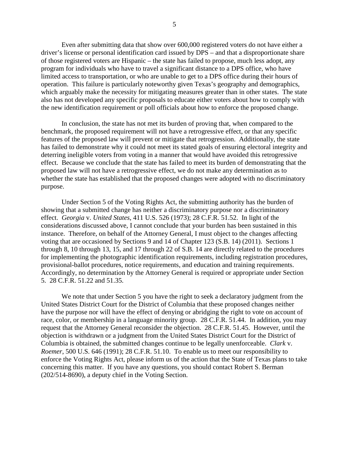Even after submitting data that show over 600,000 registered voters do not have either a driver's license or personal identification card issued by DPS – and that a disproportionate share of those registered voters are Hispanic – the state has failed to propose, much less adopt, any program for individuals who have to travel a significant distance to a DPS office, who have limited access to transportation, or who are unable to get to a DPS office during their hours of operation. This failure is particularly noteworthy given Texas's geography and demographics, which arguably make the necessity for mitigating measures greater than in other states. The state also has not developed any specific proposals to educate either voters about how to comply with the new identification requirement or poll officials about how to enforce the proposed change.

In conclusion, the state has not met its burden of proving that, when compared to the benchmark, the proposed requirement will not have a retrogressive effect, or that any specific features of the proposed law will prevent or mitigate that retrogression. Additionally, the state has failed to demonstrate why it could not meet its stated goals of ensuring electoral integrity and deterring ineligible voters from voting in a manner that would have avoided this retrogressive effect. Because we conclude that the state has failed to meet its burden of demonstrating that the proposed law will not have a retrogressive effect, we do not make any determination as to whether the state has established that the proposed changes were adopted with no discriminatory purpose.

Under Section 5 of the Voting Rights Act, the submitting authority has the burden of showing that a submitted change has neither a discriminatory purpose nor a discriminatory effect. *Georgia* v. *United States*, 411 U.S. 526 (1973); 28 C.F.R. 51.52. In light of the considerations discussed above, I cannot conclude that your burden has been sustained in this instance. Therefore, on behalf of the Attorney General, I must object to the changes affecting voting that are occasioned by Sections 9 and 14 of Chapter 123 (S.B. 14) (2011). Sections 1 through 8, 10 through 13, 15, and 17 through 22 of S.B. 14 are directly related to the procedures for implementing the photographic identification requirements, including registration procedures, provisional-ballot procedures, notice requirements, and education and training requirements. Accordingly, no determination by the Attorney General is required or appropriate under Section 5. 28 C.F.R. 51.22 and 51.35.

We note that under Section 5 you have the right to seek a declaratory judgment from the United States District Court for the District of Columbia that these proposed changes neither have the purpose nor will have the effect of denying or abridging the right to vote on account of race, color, or membership in a language minority group. 28 C.F.R. 51.44. In addition, you may request that the Attorney General reconsider the objection. 28 C.F.R. 51.45. However, until the objection is withdrawn or a judgment from the United States District Court for the District of Columbia is obtained, the submitted changes continue to be legally unenforceable. *Clark* v. *Roemer*, 500 U.S. 646 (1991); 28 C.F.R. 51.10. To enable us to meet our responsibility to enforce the Voting Rights Act, please inform us of the action that the State of Texas plans to take concerning this matter. If you have any questions, you should contact Robert S. Berman (202/514-8690), a deputy chief in the Voting Section.